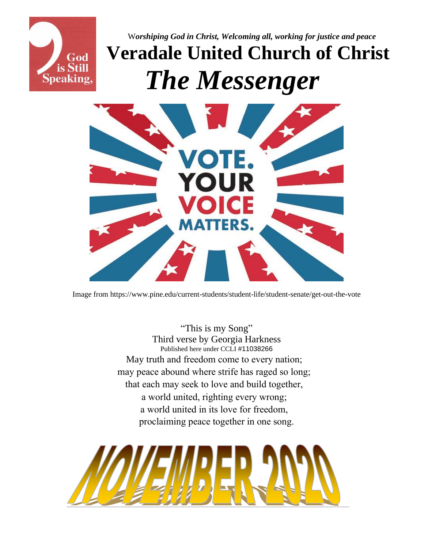

<sup>W</sup>*orshiping God in Christ, Welcoming all, working for justice and peace* **Veradale United Church of Christ**  *The Messenger*



Image from https://www.pine.edu/current-students/student-life/student-senate/get-out-the-vote

"This is my Song" Third verse by Georgia Harkness Published here under CCLI #11038266 May truth and freedom come to every nation; may peace abound where strife has raged so long; that each may seek to love and build together, a world united, righting every wrong; a world united in its love for freedom, proclaiming peace together in one song.

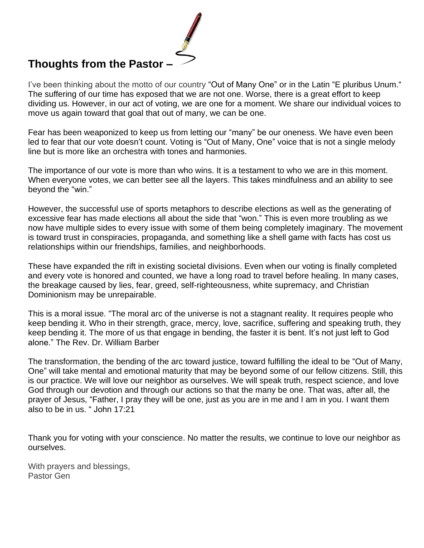## **Thoughts from the Pastor –**

I've been thinking about the motto of our country "Out of Many One" or in the Latin "E pluribus Unum." The suffering of our time has exposed that we are not one. Worse, there is a great effort to keep dividing us. However, in our act of voting, we are one for a moment. We share our individual voices to move us again toward that goal that out of many, we can be one.

Fear has been weaponized to keep us from letting our "many" be our oneness. We have even been led to fear that our vote doesn't count. Voting is "Out of Many, One" voice that is not a single melody line but is more like an orchestra with tones and harmonies.

The importance of our vote is more than who wins. It is a testament to who we are in this moment. When everyone votes, we can better see all the layers. This takes mindfulness and an ability to see beyond the "win."

However, the successful use of sports metaphors to describe elections as well as the generating of excessive fear has made elections all about the side that "won." This is even more troubling as we now have multiple sides to every issue with some of them being completely imaginary. The movement is toward trust in conspiracies, propaganda, and something like a shell game with facts has cost us relationships within our friendships, families, and neighborhoods.

These have expanded the rift in existing societal divisions. Even when our voting is finally completed and every vote is honored and counted, we have a long road to travel before healing. In many cases, the breakage caused by lies, fear, greed, self-righteousness, white supremacy, and Christian Dominionism may be unrepairable.

This is a moral issue. "The moral arc of the universe is not a stagnant reality. It requires people who keep bending it. Who in their strength, grace, mercy, love, sacrifice, suffering and speaking truth, they keep bending it. The more of us that engage in bending, the faster it is bent. It's not just left to God alone." The Rev. Dr. William Barber

The transformation, the bending of the arc toward justice, toward fulfilling the ideal to be "Out of Many, One" will take mental and emotional maturity that may be beyond some of our fellow citizens. Still, this is our practice. We will love our neighbor as ourselves. We will speak truth, respect science, and love God through our devotion and through our actions so that the many be one. That was, after all, the prayer of Jesus, "Father, I pray they will be one, just as you are in me and I am in you. I want them also to be in us. " John 17:21

Thank you for voting with your conscience. No matter the results, we continue to love our neighbor as ourselves.

With prayers and blessings, Pastor Gen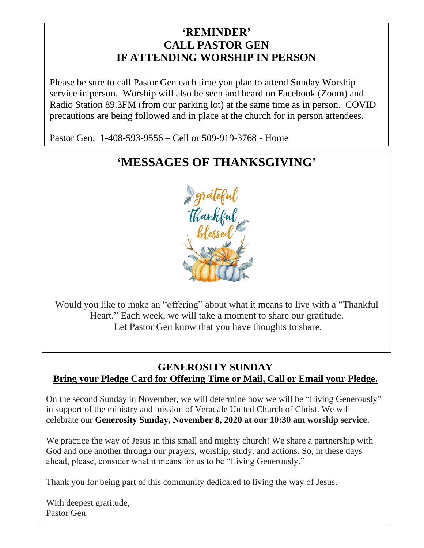### **'REMINDER' CALL PASTOR GEN IF ATTENDING WORSHIP IN PERSON**

Please be sure to call Pastor Gen each time you plan to attend Sunday Worship service in person. Worship will also be seen and heard on Facebook (Zoom) and Radio Station 89.3FM (from our parking lot) at the same time as in person. COVID precautions are being followed and in place at the church for in person attendees.

Pastor Gen: 1-408-593-9556 – Cell or 509-919-3768 - Home

# **'MESSAGES OF THANKSGIVING'**



Would you like to make an "offering" about what it means to live with a "Thankful Heart." Each week, we will take a moment to share our gratitude. Let Pastor Gen know that you have thoughts to share.

### **GENEROSITY SUNDAY Bring your Pledge Card for Offering Time or Mail, Call or Email your Pledge.**

On the second Sunday in November, we will determine how we will be "Living Generously" in support of the ministry and mission of Veradale United Church of Christ. We will celebrate our **Generosity Sunday, November 8, 2020 at our 10:30 am worship service.** 

We practice the way of Jesus in this small and mighty church! We share a partnership with God and one another through our prayers, worship, study, and actions. So, in these days ahead, please, consider what it means for us to be "Living Generously."

Thank you for being part of this community dedicated to living the way of Jesus.

With deepest gratitude, Pastor Gen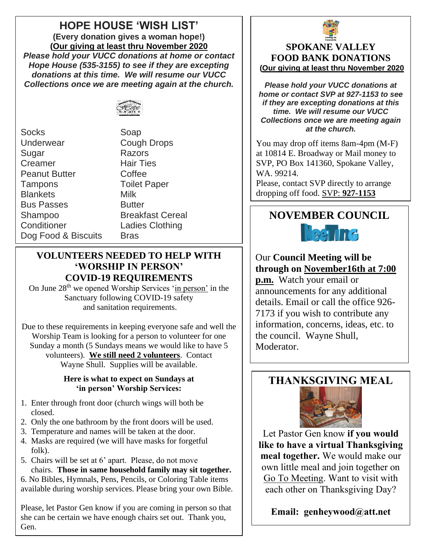## **HOPE HOUSE 'WISH LIST'**

**(Every donation gives a woman hope!) (Our giving at least thru November 2020** *Please hold your VUCC donations at home or contact Hope House (535-3155) to see if they are excepting donations at this time. We will resume our VUCC Collections once we are meeting again at the church.*



Socks Soap Underwear Cough Drops Sugar Razors Creamer Hair Ties Peanut Butter Coffee Tampons Toilet Paper Blankets Milk Bus Passes **Butter** Shampoo Breakfast Cereal Conditioner Ladies Clothing Dog Food & Biscuits Bras

### **VOLUNTEERS NEEDED TO HELP WITH 'WORSHIP IN PERSON' COVID-19 REQUIREMENTS**

On June 28<sup>th</sup> we opened Worship Services 'in person' in the Sanctuary following COVID-19 safety and sanitation requirements.

Due to these requirements in keeping everyone safe and well the Worship Team is looking for a person to volunteer for one Sunday a month (5 Sundays means we would like to have 5 volunteers). **We still need 2 volunteers**. Contact Wayne Shull. Supplies will be available.

### **Here is what to expect on Sundays at 'in person' Worship Services:**

- 1. Enter through front door (church wings will both be closed.
- 2. Only the one bathroom by the front doors will be used.
- 3. Temperature and names will be taken at the door.
- 4. Masks are required (we will have masks for forgetful folk).
- 5. Chairs will be set at 6' apart. Please, do not move chairs. **Those in same household family may sit together.**

6. No Bibles, Hymnals, Pens, Pencils, or Coloring Table items available during worship services. Please bring your own Bible.

Please, let Pastor Gen know if you are coming in person so that she can be certain we have enough chairs set out. Thank you, Gen.



### **SPOKANE VALLEY FOOD BANK DONATIONS (Our giving at least thru November 2020**

*Please hold your VUCC donations at home or contact SVP at 927-1153 to see if they are excepting donations at this time. We will resume our VUCC Collections once we are meeting again at the church.*

You may drop off items 8am-4pm (M-F) at 10814 E. Broadway or Mail money to SVP, PO Box 141360, Spokane Valley, WA. 99214.

Please, contact SVP directly to arrange dropping off food. SVP: **927-1153**

# *The commodity for the month of* **NOVEMBER COUNCIL** *June is Chili/Pork & Beans*

## Our **Council Meeting will be through on November16th at 7:00**

**p.m.** Watch your email or announcements for any additional details. Email or call the office 926- 7173 if you wish to contribute any information, concerns, ideas, etc. to the council. Wayne Shull, Moderator.

## **THANKSGIVING MEAL**



Let Pastor Gen know **if you would like to have a virtual Thanksgiving meal together.** We would make our own little meal and join together on Go To Meeting. Want to visit with each other on Thanksgiving Day?

**Email: genheywood@att.net**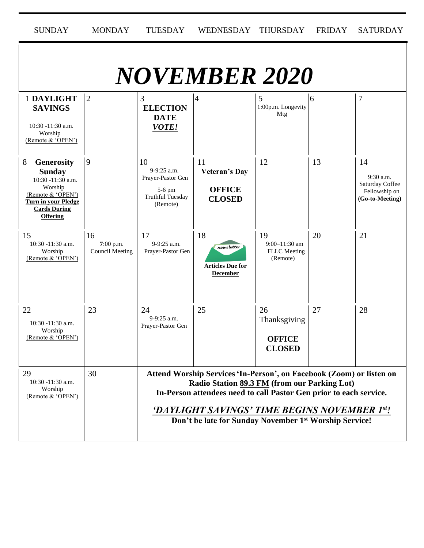| <b>SUNDAY</b>                                                                                                                                                        | <b>MONDAY</b>                             | <b>TUESDAY</b>                                                                                                                                                                                                                                                                                                   | <b>WEDNESDAY</b>                                               | <b>THURSDAY</b>                                      | <b>FRIDAY</b> | <b>SATURDAY</b>                                                        |  |  |
|----------------------------------------------------------------------------------------------------------------------------------------------------------------------|-------------------------------------------|------------------------------------------------------------------------------------------------------------------------------------------------------------------------------------------------------------------------------------------------------------------------------------------------------------------|----------------------------------------------------------------|------------------------------------------------------|---------------|------------------------------------------------------------------------|--|--|
| <b>NOVEMBER 2020</b>                                                                                                                                                 |                                           |                                                                                                                                                                                                                                                                                                                  |                                                                |                                                      |               |                                                                        |  |  |
| 1 DAYLIGHT<br><b>SAVINGS</b><br>10:30 -11:30 a.m.<br>Worship<br>(Remote & 'OPEN')                                                                                    | $\overline{2}$                            | 3<br><b>ELECTION</b><br><b>DATE</b><br><b>VOTE!</b>                                                                                                                                                                                                                                                              | 4                                                              | 5<br>1:00p.m. Longevity<br>Mtg                       | 6             | 7                                                                      |  |  |
| 8<br><b>Generosity</b><br><b>Sunday</b><br>10:30 -11:30 a.m.<br>Worship<br>(Remote & 'OPEN')<br><b>Turn in your Pledge</b><br><b>Cards During</b><br><b>Offering</b> | 9                                         | 10<br>9-9:25 a.m.<br>Prayer-Pastor Gen<br>5-6 pm<br><b>Truthful Tuesday</b><br>(Remote)                                                                                                                                                                                                                          | 11<br><b>Veteran's Day</b><br><b>OFFICE</b><br><b>CLOSED</b>   | 12                                                   | 13            | 14<br>9:30 a.m.<br>Saturday Coffee<br>Fellowship on<br>(Go-to-Meeting) |  |  |
| 15<br>10:30 -11:30 a.m.<br>Worship<br>(Remote & 'OPEN')                                                                                                              | 16<br>7:00 p.m.<br><b>Council Meeting</b> | 17<br>9-9:25 a.m.<br>Prayer-Pastor Gen                                                                                                                                                                                                                                                                           | 18<br>newsletter<br><b>Articles Due for</b><br><b>December</b> | 19<br>$9:00-11:30$ am<br>FLLC Meeting<br>(Remote)    | 20            | 21                                                                     |  |  |
| 22<br>10:30 -11:30 a.m.<br>Worship<br>(Remote & 'OPEN')                                                                                                              | 23                                        | 24<br>9-9:25 a.m.<br>Prayer-Pastor Gen                                                                                                                                                                                                                                                                           | 25                                                             | 26<br>Thanksgiving<br><b>OFFICE</b><br><b>CLOSED</b> | 27            | 28                                                                     |  |  |
| 29<br>$10:30 - 11:30$ a.m.<br>Worship<br>(Remote & 'OPEN')                                                                                                           | 30                                        | Attend Worship Services 'In-Person', on Facebook (Zoom) or listen on<br>Radio Station 89.3 FM (from our Parking Lot)<br>In-Person attendees need to call Pastor Gen prior to each service.<br>'DAYLIGHT SAVINGS' TIME BEGINS NOVEMBER 1st!<br>Don't be late for Sunday November 1 <sup>st</sup> Worship Service! |                                                                |                                                      |               |                                                                        |  |  |

.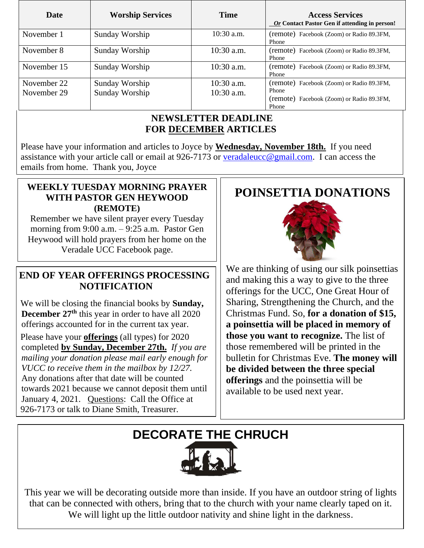| <b>Date</b>                | <b>Worship Services</b>          | Time                         | <b>Access Services</b><br>Or Contact Pastor Gen if attending in person!                                  |
|----------------------------|----------------------------------|------------------------------|----------------------------------------------------------------------------------------------------------|
| November 1                 | Sunday Worship                   | $10:30$ a.m.                 | (remote) Facebook (Zoom) or Radio 89.3FM,<br>Phone                                                       |
| November 8                 | Sunday Worship                   | $10:30$ a.m.                 | (remote) Facebook (Zoom) or Radio 89.3FM,<br>Phone                                                       |
| November 15                | Sunday Worship                   | $10:30$ a.m.                 | (remote) Facebook (Zoom) or Radio 89.3FM,<br>Phone                                                       |
| November 22<br>November 29 | Sunday Worship<br>Sunday Worship | $10:30$ a.m.<br>$10:30$ a.m. | (remote) Facebook (Zoom) or Radio 89.3FM,<br>Phone<br>(remote) Facebook (Zoom) or Radio 89.3FM,<br>Phone |

### **NEWSLETTER DEADLINE FOR DECEMBER ARTICLES**

Please have your information and articles to Joyce by **Wednesday, November 18th.** If you need assistance with your article call or email at 926-7173 or [veradaleucc@gmail.com.](mailto:veradaleucc@gmail.com) I can access the emails from home. Thank you, Joyce

## **WEEKLY TUESDAY MORNING PRAYER WITH PASTOR GEN HEYWOOD (REMOTE)**

 morning from 9:00 a.m. – 9:25 a.m*.* Pastor Gen Remember we have silent prayer every Tuesday Heywood will hold prayers from her home on the Veradale UCC Facebook page.

### **END OF YEAR OFFERINGS PROCESSING NOTIFICATION**

We will be closing the financial books by **Sunday, December 27th** this year in order to have all 2020 offerings accounted for in the current tax year.

Please have your **offerings** (all types) for 2020 completed **by Sunday, December 27th.** *If you are mailing your donation please mail early enough for VUCC to receive them in the mailbox by 12/27.* Any donations after that date will be counted towards 2021 because we cannot deposit them until January 4, 2021. Questions: Call the Office at 926-7173 or talk to Diane Smith, Treasurer.

# **POINSETTIA DONATIONS**



 and making this a way to give to the three We are thinking of using our silk poinsettias offerings for the UCC, One Great Hour of Sharing, Strengthening the Church, and the Christmas Fund. So, **for a donation of \$15, a poinsettia will be placed in memory of those you want to recognize.** The list of those remembered will be printed in the bulletin for Christmas Eve. **The money will be divided between the three special offerings** and the poinsettia will be available to be used next year.

# **DECORATE THE CHRUCH**

This year we will be decorating outside more than inside. If you have an outdoor string of lights that can be connected with others, bring that to the church with your name clearly taped on it. We will light up the little outdoor nativity and shine light in the darkness.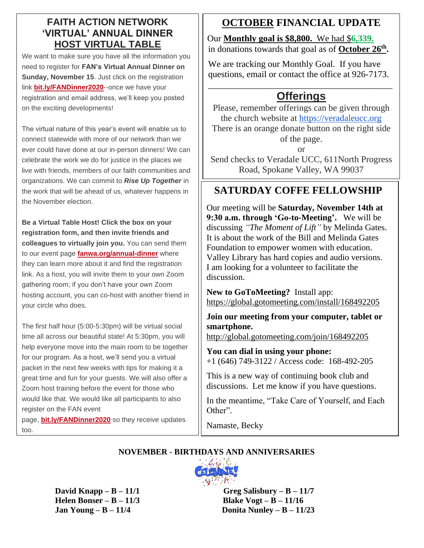### **FAITH ACTION NETWORK 'VIRTUAL' ANNUAL DINNER HOST VIRTUAL TABLE**

We want to make sure you have all the information you need to register for **FAN's Virtual Annual Dinner on Sunday, November 15.** Just click on the registration link **[bit.ly/FANDinner2020](https://fanwa.ourpowerbase.net/civicrm/mailing/url?u=17720&qid=2336938)**--once we have your registration and email address, we'll keep you posted on the exciting developments!

The virtual nature of this year's event will enable us to connect statewide with more of our network than we ever could have done at our in-person dinners! We can celebrate the work we do for justice in the places we live with friends, members of our faith communities and organizations. We can commit to *Rise Up Together* in the work that will be ahead of us, whatever happens in the November election.

**Be a Virtual Table Host! Click the box on your registration form, and then invite friends and colleagues to virtually join you.** You can send them to our event page **[fanwa.org/annual-dinner](https://fanwa.ourpowerbase.net/civicrm/mailing/url?u=17721&qid=2336938)** where they can learn more about it and find the registration link. As a host, you will invite them to your own Zoom gathering room; if you don't have your own Zoom hosting account, you can co-host with another friend in your circle who does.

The first half hour (5:00-5:30pm) will be virtual social time all across our beautiful state! At 5:30pm, you will help everyone move into the main room to be together for our program. As a host, we'll send you a virtual packet in the next few weeks with tips for making it a great time and fun for your guests. We will also offer a Zoom host training before the event for those who would like that. We would like all participants to also register on the FAN event

page, **[bit.ly/FANDinner2020](https://fanwa.ourpowerbase.net/civicrm/mailing/url?u=17720&qid=2336938)** so they receive updates too.

## **OCTOBER FINANCIAL UPDATE**

Our **Monthly goal is \$8,800.** We had \$**6,339.** in donations towards that goal as of **October 26th .**

We are tracking our Monthly Goal. If you have questions, email or contact the office at 926-7173. \_\_\_\_\_\_\_\_\_\_\_\_\_\_\_\_\_\_\_\_\_\_\_\_\_\_\_\_\_\_\_\_\_\_\_\_\_\_\_\_\_

## **Offerings**

Please, remember offerings can be given through the church website at [https://veradaleucc.org](https://veradaleucc.org/) There is an orange donate button on the right side of the page.

or

Send checks to Veradale UCC, 611North Progress Road, Spokane Valley, WA 99037

### **SATURDAY COFFE FELLOWSHIP** *offering will be a part of the worship service.*

Our meeting will be **Saturday, November 14th at 9:30 a.m. through 'Go-to-Meeting'.** We will be discussing *"The Moment of Lift"* by Melinda Gates. It is about the work of the Bill and Melinda Gates Foundation to empower women with education. Valley Library has hard copies and audio versions. I am looking for a volunteer to facilitate the discussion.

**New to GoToMeeting?** Install app: <https://global.gotomeeting.com/install/168492205>

**Join our meeting from your computer, tablet or smartphone.**

<http://global.gotomeeting.com/join/168492205>

**You can dial in using your phone:**  +1 (646) 749-3122 / Access code: 168-492-205

This is a new way of continuing book club and discussions. Let me know if you have questions.

In the meantime, "Take Care of Yourself, and Each Other".

Namaste, Becky

### **NOVEMBER - BIRTHDAYS AND ANNIVERSARIES**



**David**  $\bf{Knapp} - \bf{B} - \bf{11/1}$  Greg Salisbury – $\bf{B} - \bf{11/7}$  **Helen Bonser – B – 11/3 Blake Vogt – B – 11/16 Jan Young – B – 11/4 Donita Nunley – B – 11/23**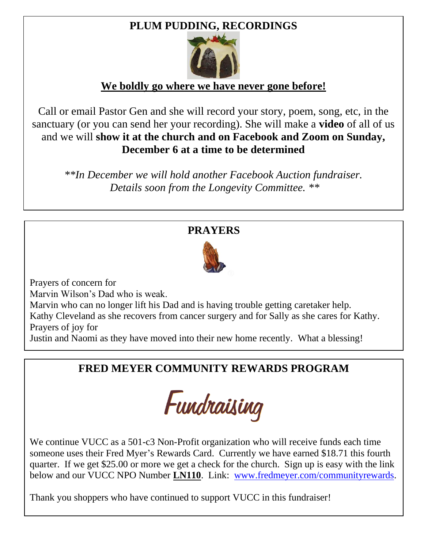# **PLUM PUDDING, RECORDINGS**



## **We boldly go where we have never gone before!**

Call or email Pastor Gen and she will record your story, poem, song, etc, in the sanctuary (or you can send her your recording). She will make a **video** of all of us and we will **show it at the church and on Facebook and Zoom on Sunday, December 6 at a time to be determined**

*\*\*In December we will hold another Facebook Auction fundraiser. Details soon from the Longevity Committee. \*\**

## **PRAYERS**



Prayers of concern for

Marvin Wilson's Dad who is weak.

Marvin who can no longer lift his Dad and is having trouble getting caretaker help. Kathy Cleveland as she recovers from cancer surgery and for Sally as she cares for Kathy. Prayers of joy for

Justin and Naomi as they have moved into their new home recently. What a blessing!

# **FRED MEYER COMMUNITY REWARDS PROGRAM**



We continue VUCC as a 501-c3 Non-Profit organization who will receive funds each time someone uses their Fred Myer's Rewards Card. Currently we have earned \$18.71 this fourth quarter. If we get \$25.00 or more we get a check for the church. Sign up is easy with the link below and our VUCC NPO Number **LN110**. Link: [www.fredmeyer.com/communityrewards.](http://www.fredmeyer.com/communityrewards)

Thank you shoppers who have continued to support VUCC in this fundraiser!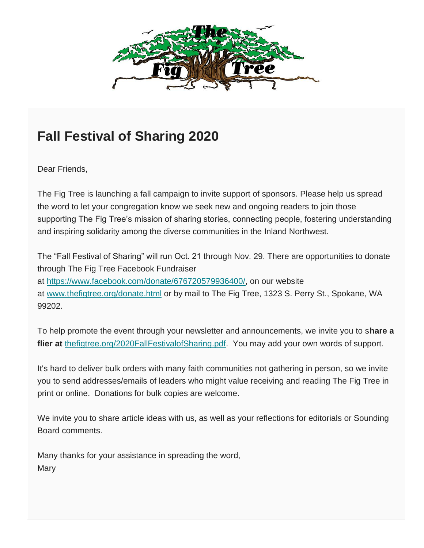

# **Fall Festival of Sharing 2020**

Dear Friends,

The Fig Tree is launching a fall campaign to invite support of sponsors. Please help us spread the word to let your congregation know we seek new and ongoing readers to join those supporting The Fig Tree's mission of sharing stories, connecting people, fostering understanding and inspiring solidarity among the diverse communities in the Inland Northwest.

The "Fall Festival of Sharing" will run Oct. 21 through Nov. 29. There are opportunities to donate through The Fig Tree Facebook Fundraiser at [https://www.facebook.com/donate/676720579936400/,](https://thefigtree.us3.list-manage.com/track/click?u=66c8200ad7c0fdfd1295dc5ac&id=ec439bfe77&e=4b9df3badb) on our website at [www.thefigtree.org/donate.html](https://thefigtree.us3.list-manage.com/track/click?u=66c8200ad7c0fdfd1295dc5ac&id=284873c669&e=4b9df3badb) or by mail to The Fig Tree, 1323 S. Perry St., Spokane, WA 99202.

To help promote the event through your newsletter and announcements, we invite you to s**hare a flier at** [thefigtree.org/2020FallFestivalofSharing.pdf.](https://thefigtree.us3.list-manage.com/track/click?u=66c8200ad7c0fdfd1295dc5ac&id=5b9326e5e8&e=4b9df3badb) You may add your own words of support.

It's hard to deliver bulk orders with many faith communities not gathering in person, so we invite you to send addresses/emails of leaders who might value receiving and reading The Fig Tree in print or online. Donations for bulk copies are welcome.

We invite you to share article ideas with us, as well as your reflections for editorials or Sounding Board comments.

Many thanks for your assistance in spreading the word, **Mary**